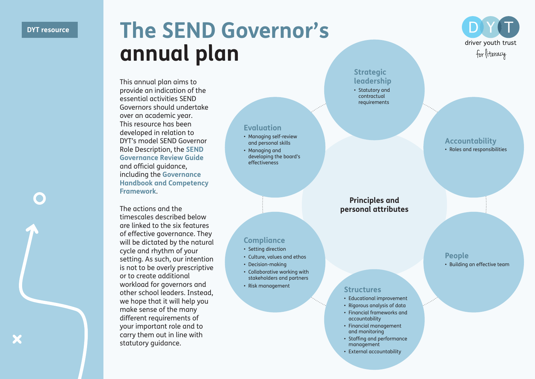## DYT resource **The SEND Governor's annual plan**

**Compliance** • Setting direction • Culture, values and ethos • Decision-making

**Evaluation** • Managing self-review and personal skills • Managing and

developing the board's effectiveness

• Collaborative working with stakeholders and partners



The actions and the timescales described below are linked to the six features of effective governance. They will be dictated by the natural cycle and rhythm of your setting. As such, our intention is not to be overly prescriptive or to create additional workload for governors and other school leaders. Instead, we hope that it will help you make sense of the many different requirements of your important role and to carry them out in line with statutory guidance.

**Strategic leadership** • Statutory and contractual requirements

**Accountability** • Roles and responsibilities

driver youth trust for literacy

## **Principles and personal attributes**

**People** • Building an effective team

## • Risk management **Structures**

- Educational improvement
- Rigorous analysis of data
- Financial frameworks and accountability
- Financial management and monitoring
- Staffing and performance management
- External accountability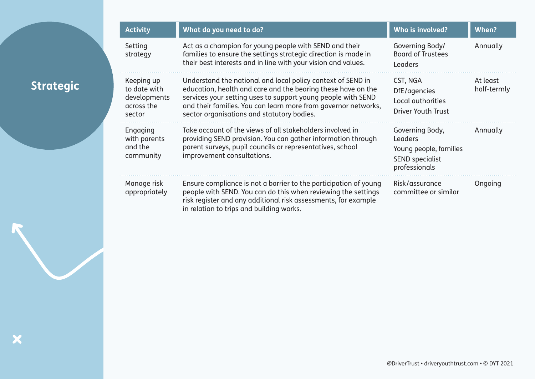| <b>Activity</b>                                                    | What do you need to do?                                                                                                                                                                                                                                                                                     | Who is involved?                                                                                | When?                   |
|--------------------------------------------------------------------|-------------------------------------------------------------------------------------------------------------------------------------------------------------------------------------------------------------------------------------------------------------------------------------------------------------|-------------------------------------------------------------------------------------------------|-------------------------|
| Setting<br>strategy                                                | Act as a champion for young people with SEND and their<br>families to ensure the settings strategic direction is made in<br>their best interests and in line with your vision and values.                                                                                                                   | Governing Body/<br><b>Board of Trustees</b><br>Leaders                                          | Annually                |
| Keeping up<br>to date with<br>developments<br>across the<br>sector | Understand the national and local policy context of SEND in<br>education, health and care and the bearing these have on the<br>services your setting uses to support young people with SEND<br>and their families. You can learn more from governor networks,<br>sector organisations and statutory bodies. | CST, NGA<br>DfE/agencies<br>Local authorities<br>Driver Youth Trust                             | At least<br>half-termly |
| Engaging<br>with parents<br>and the<br>community                   | Take account of the views of all stakeholders involved in<br>providing SEND provision. You can gather information through<br>parent surveys, pupil councils or representatives, school<br>improvement consultations.                                                                                        | Governing Body,<br>Leaders<br>Young people, families<br><b>SEND</b> specialist<br>professionals | Annually                |
| Manage risk<br>appropriately                                       | Ensure compliance is not a barrier to the participation of young<br>people with SEND. You can do this when reviewing the settings<br>risk register and any additional risk assessments, for example<br>in relation to trips and building works.                                                             | Risk/assurance<br>committee or similar                                                          | Ongoing                 |

X

**Strategic**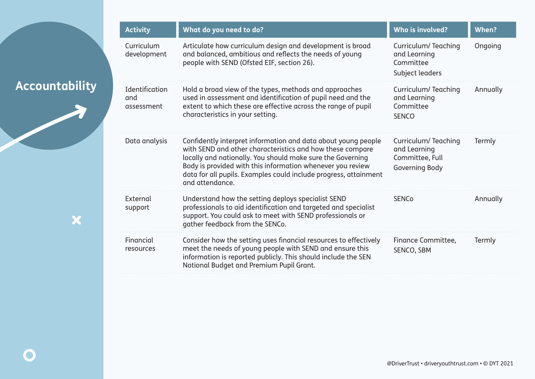| <b>Activity</b>                     | What do you need to do?                                                                                                                                                                                                                                                                                                                       | Who is involved?                                                         | When?    |
|-------------------------------------|-----------------------------------------------------------------------------------------------------------------------------------------------------------------------------------------------------------------------------------------------------------------------------------------------------------------------------------------------|--------------------------------------------------------------------------|----------|
| Curriculum<br>development           | Articulate how curriculum design and development is broad<br>and balanced, ambitious and reflects the needs of young<br>people with SEND (Ofsted EIF, section 26).                                                                                                                                                                            | Curriculum/Teaching<br>and Learning<br>Committee<br>Subject leaders      | Ongoing  |
| Identification<br>and<br>assessment | Hold a broad view of the types, methods and approaches<br>used in assessment and identification of pupil need and the<br>extent to which these are effective across the range of pupil<br>characteristics in your setting.                                                                                                                    | Curriculum/Teaching<br>and Learning<br>Committee<br><b>SENCO</b>         | Annually |
| Data analysis                       | Confidently interpret information and data about young people<br>with SEND and other characteristics and how these compare<br>locally and nationally. You should make sure the Governing<br>Body is provided with this information whenever you review<br>data for all pupils. Examples could include progress, attainment<br>and attendance. | Curriculum/Teaching<br>and Learning<br>Committee, Full<br>Governing Body | Termly   |
| External<br>support                 | Understand how the setting deploys specialist SEND<br>professionals to aid identification and targeted and specialist<br>support. You could ask to meet with SEND professionals or<br>gather feedback from the SENCo.                                                                                                                         | <b>SENCo</b>                                                             | Annually |
| Financial<br>resources              | Consider how the setting uses financial resources to effectively<br>meet the needs of young people with SEND and ensure this<br>information is reported publicly. This should include the SEN<br>Notional Budget and Premium Pupil Grant.                                                                                                     | Finance Committee,<br>SENCO, SBM                                         | Termly   |

**Accountability**

X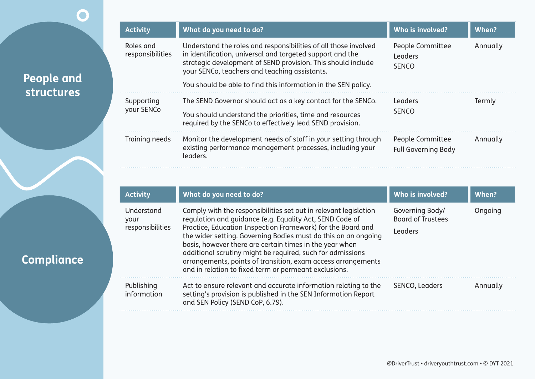| <b>Activity</b>               | What do you need to do?                                                                                                                                                                                                                       | Who is involved?                               | When?    |
|-------------------------------|-----------------------------------------------------------------------------------------------------------------------------------------------------------------------------------------------------------------------------------------------|------------------------------------------------|----------|
| Roles and<br>responsibilities | Understand the roles and responsibilities of all those involved<br>in identification, universal and targeted support and the<br>strategic development of SEND provision. This should include<br>your SENCo, teachers and teaching assistants. | People Committee<br>Leaders<br><b>SENCO</b>    | Annually |
|                               | You should be able to find this information in the SEN policy.                                                                                                                                                                                |                                                |          |
| Supporting                    | The SEND Governor should act as a key contact for the SENCo.                                                                                                                                                                                  | Leaders<br><b>SENCO</b>                        | Termly   |
| your SENCo                    | You should understand the priorities, time and resources<br>required by the SENCo to effectively lead SEND provision.                                                                                                                         |                                                |          |
| Training needs                | Monitor the development needs of staff in your setting through<br>existing performance management processes, including your<br>leaders.                                                                                                       | People Committee<br><b>Full Governing Body</b> | Annually |

**People and** 

 $\overline{\mathbf{O}}$ 

**structures**

**Compliance**

| <b>Activity</b>                        | What do you need to do?                                                                                                                                                                                                                                                                                                                                                                                                                                                                                         | Who is involved?                                       | When?    |
|----------------------------------------|-----------------------------------------------------------------------------------------------------------------------------------------------------------------------------------------------------------------------------------------------------------------------------------------------------------------------------------------------------------------------------------------------------------------------------------------------------------------------------------------------------------------|--------------------------------------------------------|----------|
| Understand<br>your<br>responsibilities | Comply with the responsibilities set out in relevant legislation<br>regulation and guidance (e.g. Equality Act, SEND Code of<br>Practice, Education Inspection Framework) for the Board and<br>the wider setting. Governing Bodies must do this on an ongoing<br>basis, however there are certain times in the year when<br>additional scrutiny might be required, such for admissions<br>arrangements, points of transition, exam access arrangements<br>and in relation to fixed term or permeant exclusions. | Governing Body/<br><b>Board of Trustees</b><br>Leaders | Ongoing  |
| Publishing<br>information              | Act to ensure relevant and accurate information relating to the<br>setting's provision is published in the SEN Information Report<br>and SEN Policy (SEND CoP, 6.79).                                                                                                                                                                                                                                                                                                                                           | SENCO, Leaders                                         | Annually |